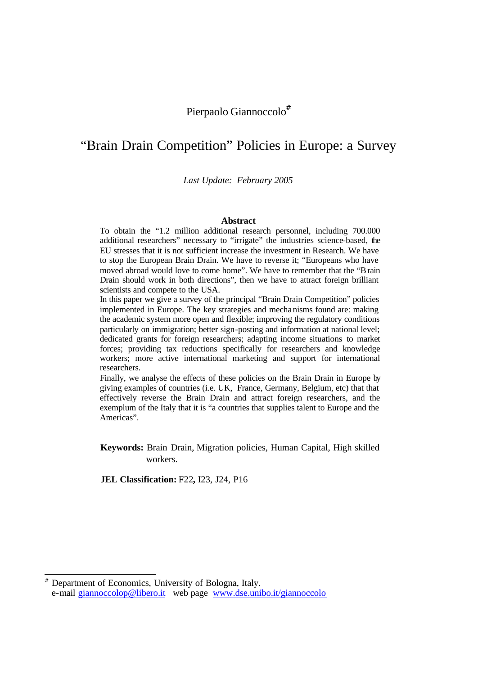# Pierpaolo Giannoccolo<sup>#</sup>

# "Brain Drain Competition" Policies in Europe: a Survey

*Last Update: February 2005*

#### **Abstract**

To obtain the "1.2 million additional research personnel, including 700.000 additional researchers" necessary to "irrigate" the industries science-based, the EU stresses that it is not sufficient increase the investment in Research. We have to stop the European Brain Drain. We have to reverse it; "Europeans who have moved abroad would love to come home". We have to remember that the "Brain Drain should work in both directions", then we have to attract foreign brilliant scientists and compete to the USA.

In this paper we give a survey of the principal "Brain Drain Competition" policies implemented in Europe. The key strategies and mecha nisms found are: making the academic system more open and flexible; improving the regulatory conditions particularly on immigration; better sign-posting and information at national level; dedicated grants for foreign researchers; adapting income situations to market forces; providing tax reductions specifically for researchers and knowledge workers; more active international marketing and support for international researchers.

Finally, we analyse the effects of these policies on the Brain Drain in Europe by giving examples of countries (i.e. UK, France, Germany, Belgium, etc) that that effectively reverse the Brain Drain and attract foreign researchers, and the exemplum of the Italy that it is "a countries that supplies talent to Europe and the Americas".

**Keywords:** Brain Drain, Migration policies, Human Capital, High skilled workers.

**JEL Classification:** F22**,** I23, J24, P16

l

<sup>#</sup> Department of Economics, University of Bologna, Italy. e-mail giannoccolop@libero.it web page www.dse.unibo.it/giannoccolo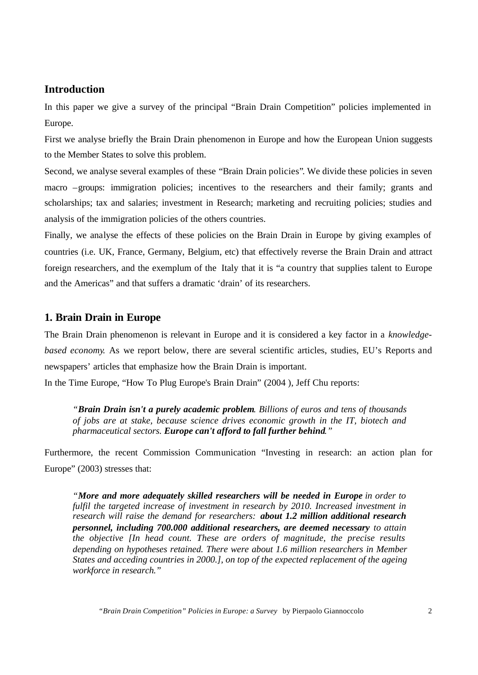# **Introduction**

In this paper we give a survey of the principal "Brain Drain Competition" policies implemented in Europe.

First we analyse briefly the Brain Drain phenomenon in Europe and how the European Union suggests to the Member States to solve this problem.

Second, we analyse several examples of these "Brain Drain policies". We divide these policies in seven macro –groups: immigration policies; incentives to the researchers and their family; grants and scholarships; tax and salaries; investment in Research; marketing and recruiting policies; studies and analysis of the immigration policies of the others countries.

Finally, we analyse the effects of these policies on the Brain Drain in Europe by giving examples of countries (i.e. UK, France, Germany, Belgium, etc) that effectively reverse the Brain Drain and attract foreign researchers, and the exemplum of the Italy that it is "a country that supplies talent to Europe and the Americas" and that suffers a dramatic 'drain' of its researchers.

## **1. Brain Drain in Europe**

The Brain Drain phenomenon is relevant in Europe and it is considered a key factor in a *knowledgebased economy*. As we report below, there are several scientific articles, studies, EU's Reports and newspapers' articles that emphasize how the Brain Drain is important.

In the Time Europe, "How To Plug Europe's Brain Drain" (2004 ), Jeff Chu reports:

*"Brain Drain isn't a purely academic problem. Billions of euros and tens of thousands of jobs are at stake, because science drives economic growth in the IT, biotech and pharmaceutical sectors. Europe can't afford to fall further behind."*

Furthermore, the recent Commission Communication "Investing in research: an action plan for Europe" (2003) stresses that:

*"More and more adequately skilled researchers will be needed in Europe in order to fulfil the targeted increase of investment in research by 2010. Increased investment in research will raise the demand for researchers: about 1.2 million additional research personnel, including 700.000 additional researchers, are deemed necessary to attain the objective [In head count. These are orders of magnitude, the precise results depending on hypotheses retained. There were about 1.6 million researchers in Member States and acceding countries in 2000.], on top of the expected replacement of the ageing workforce in research."*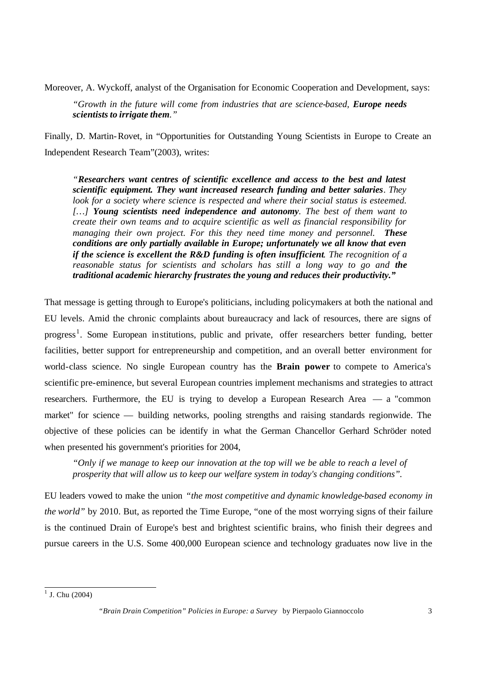Moreover, A. Wyckoff, analyst of the Organisation for Economic Cooperation and Development, says:

*"Growth in the future will come from industries that are science-based, Europe needs scientists to irrigate them."*

Finally, D. Martin-Rovet, in "Opportunities for Outstanding Young Scientists in Europe to Create an Independent Research Team"(2003), writes:

*"Researchers want centres of scientific excellence and access to the best and latest scientific equipment. They want increased research funding and better salaries. They look for a society where science is respected and where their social status is esteemed. […] Young scientists need independence and autonomy. The best of them want to create their own teams and to acquire scientific as well as financial responsibility for managing their own project. For this they need time money and personnel. These conditions are only partially available in Europe; unfortunately we all know that even if the science is excellent the R&D funding is often insufficient. The recognition of a reasonable status for scientists and scholars has still a long way to go and the traditional academic hierarchy frustrates the young and reduces their productivity."*

That message is getting through to Europe's politicians, including policymakers at both the national and EU levels. Amid the chronic complaints about bureaucracy and lack of resources, there are signs of progress<sup>1</sup>. Some European institutions, public and private, offer researchers better funding, better facilities, better support for entrepreneurship and competition, and an overall better environment for world-class science. No single European country has the **Brain power** to compete to America's scientific pre-eminence, but several European countries implement mechanisms and strategies to attract researchers. Furthermore, the EU is trying to develop a European Research Area — a "common market" for science — building networks, pooling strengths and raising standards regionwide. The objective of these policies can be identify in what the German Chancellor Gerhard Schröder noted when presented his government's priorities for 2004,

*"Only if we manage to keep our innovation at the top will we be able to reach a level of prosperity that will allow us to keep our welfare system in today's changing conditions".*

EU leaders vowed to make the union *"the most competitive and dynamic knowledge-based economy in the world"* by 2010. But, as reported the Time Europe, "one of the most worrying signs of their failure is the continued Drain of Europe's best and brightest scientific brains, who finish their degrees and pursue careers in the U.S. Some 400,000 European science and technology graduates now live in the

 $1$  J. Chu (2004)

*<sup>&</sup>quot;Brain Drain Competition" Policies in Europe: a Survey* by Pierpaolo Giannoccolo 3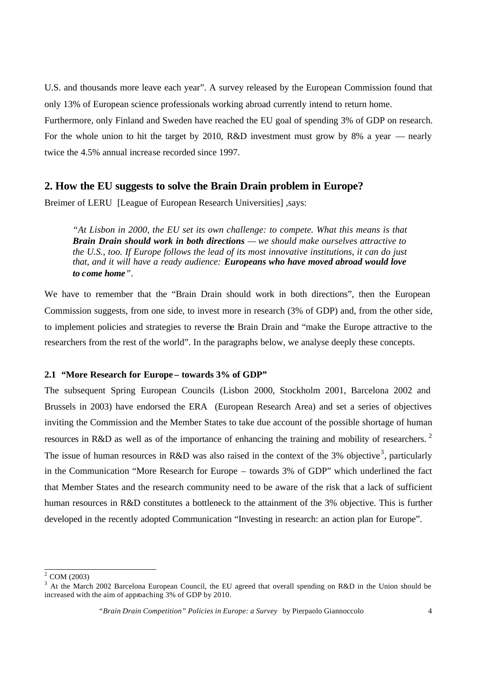U.S. and thousands more leave each year". A survey released by the European Commission found that only 13% of European science professionals working abroad currently intend to return home.

Furthermore, only Finland and Sweden have reached the EU goal of spending 3% of GDP on research. For the whole union to hit the target by 2010, R&D investment must grow by 8% a year — nearly twice the 4.5% annual increase recorded since 1997.

# **2. How the EU suggests to solve the Brain Drain problem in Europe?**

Breimer of LERU [League of European Research Universities] ,says:

*"At Lisbon in 2000, the EU set its own challenge: to compete. What this means is that Brain Drain should work in both directions — we should make ourselves attractive to the U.S., too. If Europe follows the lead of its most innovative institutions, it can do just that, and it will have a ready audience: Europeans who have moved abroad would love to come home".*

We have to remember that the "Brain Drain should work in both directions", then the European Commission suggests, from one side, to invest more in research (3% of GDP) and, from the other side, to implement policies and strategies to reverse the Brain Drain and "make the Europe attractive to the researchers from the rest of the world". In the paragraphs below, we analyse deeply these concepts.

## **2.1 "More Research for Europe – towards 3% of GDP"**

The subsequent Spring European Councils (Lisbon 2000, Stockholm 2001, Barcelona 2002 and Brussels in 2003) have endorsed the ERA (European Research Area) and set a series of objectives inviting the Commission and the Member States to take due account of the possible shortage of human resources in R&D as well as of the importance of enhancing the training and mobility of researchers.<sup>2</sup> The issue of human resources in R&D was also raised in the context of the 3% objective<sup>3</sup>, particularly in the Communication "More Research for Europe – towards 3% of GDP" which underlined the fact that Member States and the research community need to be aware of the risk that a lack of sufficient human resources in R&D constitutes a bottleneck to the attainment of the 3% objective. This is further developed in the recently adopted Communication "Investing in research: an action plan for Europe".

<sup>&</sup>lt;sup>2</sup> COM (2003)

 $3$  At the March 2002 Barcelona European Council, the EU agreed that overall spending on R&D in the Union should be increased with the aim of approaching 3% of GDP by 2010.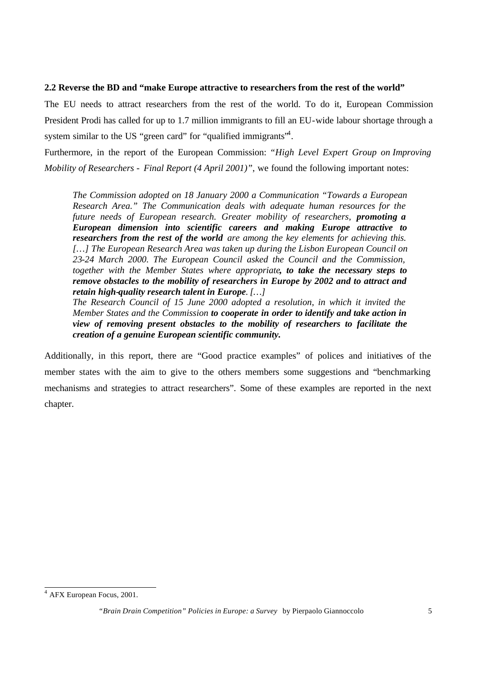### **2.2 Reverse the BD and "make Europe attractive to researchers from the rest of the world"**

The EU needs to attract researchers from the rest of the world. To do it, European Commission President Prodi has called for up to 1.7 million immigrants to fill an EU-wide labour shortage through a system similar to the US "green card" for "qualified immigrants"<sup>4</sup>.

Furthermore, in the report of the European Commission: *"High Level Expert Group on Improving Mobility of Researchers - Final Report (4 April 2001)"*, we found the following important notes:

*The Commission adopted on 18 January 2000 a Communication "Towards a European Research Area." The Communication deals with adequate human resources for the future needs of European research. Greater mobility of researchers, promoting a European dimension into scientific careers and making Europe attractive to researchers from the rest of the world are among the key elements for achieving this. […] The European Research Area was taken up during the Lisbon European Council on 23-24 March 2000. The European Council asked the Council and the Commission, together with the Member States where appropriate, to take the necessary steps to remove obstacles to the mobility of researchers in Europe by 2002 and to attract and retain high-quality research talent in Europe. […]*

*The Research Council of 15 June 2000 adopted a resolution, in which it invited the Member States and the Commission to cooperate in order to identify and take action in view of removing present obstacles to the mobility of researchers to facilitate the creation of a genuine European scientific community.*

Additionally, in this report, there are "Good practice examples" of polices and initiatives of the member states with the aim to give to the others members some suggestions and "benchmarking mechanisms and strategies to attract researchers". Some of these examples are reported in the next chapter.

 4 AFX European Focus, 2001.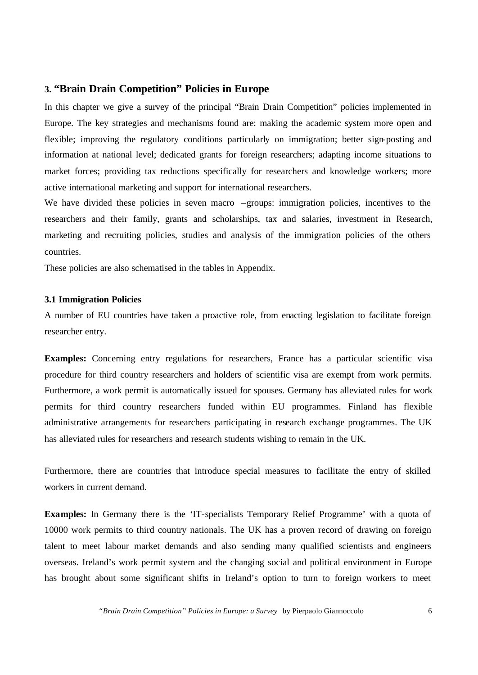## **3. "Brain Drain Competition" Policies in Europe**

In this chapter we give a survey of the principal "Brain Drain Competition" policies implemented in Europe. The key strategies and mechanisms found are: making the academic system more open and flexible; improving the regulatory conditions particularly on immigration; better sign-posting and information at national level; dedicated grants for foreign researchers; adapting income situations to market forces; providing tax reductions specifically for researchers and knowledge workers; more active international marketing and support for international researchers.

We have divided these policies in seven macro -groups: immigration policies, incentives to the researchers and their family, grants and scholarships, tax and salaries, investment in Research, marketing and recruiting policies, studies and analysis of the immigration policies of the others countries.

These policies are also schematised in the tables in Appendix.

## **3.1 Immigration Policies**

A number of EU countries have taken a proactive role, from enacting legislation to facilitate foreign researcher entry.

**Examples:** Concerning entry regulations for researchers, France has a particular scientific visa procedure for third country researchers and holders of scientific visa are exempt from work permits. Furthermore, a work permit is automatically issued for spouses. Germany has alleviated rules for work permits for third country researchers funded within EU programmes. Finland has flexible administrative arrangements for researchers participating in research exchange programmes. The UK has alleviated rules for researchers and research students wishing to remain in the UK.

Furthermore, there are countries that introduce special measures to facilitate the entry of skilled workers in current demand.

**Examples:** In Germany there is the 'IT-specialists Temporary Relief Programme' with a quota of 10000 work permits to third country nationals. The UK has a proven record of drawing on foreign talent to meet labour market demands and also sending many qualified scientists and engineers overseas. Ireland's work permit system and the changing social and political environment in Europe has brought about some significant shifts in Ireland's option to turn to foreign workers to meet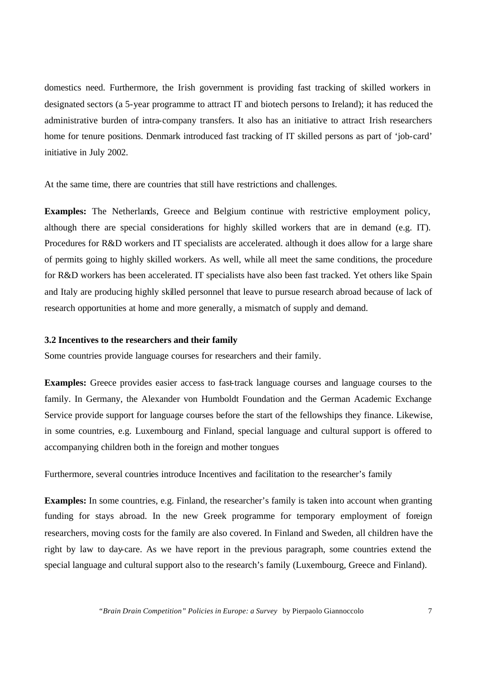domestics need. Furthermore, the Irish government is providing fast tracking of skilled workers in designated sectors (a 5-year programme to attract IT and biotech persons to Ireland); it has reduced the administrative burden of intra-company transfers. It also has an initiative to attract Irish researchers home for tenure positions. Denmark introduced fast tracking of IT skilled persons as part of 'job-card' initiative in July 2002.

At the same time, there are countries that still have restrictions and challenges.

**Examples:** The Netherlands, Greece and Belgium continue with restrictive employment policy, although there are special considerations for highly skilled workers that are in demand (e.g. IT). Procedures for R&D workers and IT specialists are accelerated. although it does allow for a large share of permits going to highly skilled workers. As well, while all meet the same conditions, the procedure for R&D workers has been accelerated. IT specialists have also been fast tracked. Yet others like Spain and Italy are producing highly skilled personnel that leave to pursue research abroad because of lack of research opportunities at home and more generally, a mismatch of supply and demand.

#### **3.2 Incentives to the researchers and their family**

Some countries provide language courses for researchers and their family.

**Examples:** Greece provides easier access to fast-track language courses and language courses to the family. In Germany, the Alexander von Humboldt Foundation and the German Academic Exchange Service provide support for language courses before the start of the fellowships they finance. Likewise, in some countries, e.g. Luxembourg and Finland, special language and cultural support is offered to accompanying children both in the foreign and mother tongues

Furthermore, several countries introduce Incentives and facilitation to the researcher's family

**Examples:** In some countries, e.g. Finland, the researcher's family is taken into account when granting funding for stays abroad. In the new Greek programme for temporary employment of foreign researchers, moving costs for the family are also covered. In Finland and Sweden, all children have the right by law to day-care. As we have report in the previous paragraph, some countries extend the special language and cultural support also to the research's family (Luxembourg, Greece and Finland).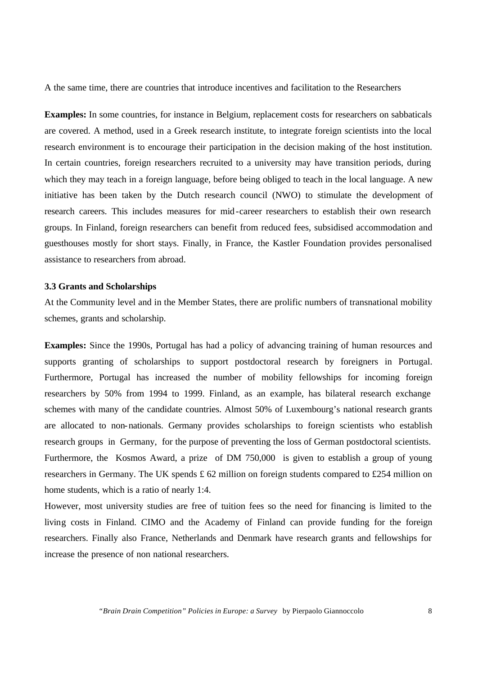A the same time, there are countries that introduce incentives and facilitation to the Researchers

**Examples:** In some countries, for instance in Belgium, replacement costs for researchers on sabbaticals are covered. A method, used in a Greek research institute, to integrate foreign scientists into the local research environment is to encourage their participation in the decision making of the host institution. In certain countries, foreign researchers recruited to a university may have transition periods, during which they may teach in a foreign language, before being obliged to teach in the local language. A new initiative has been taken by the Dutch research council (NWO) to stimulate the development of research careers. This includes measures for mid-career researchers to establish their own research groups. In Finland, foreign researchers can benefit from reduced fees, subsidised accommodation and guesthouses mostly for short stays. Finally, in France, the Kastler Foundation provides personalised assistance to researchers from abroad.

### **3.3 Grants and Scholarships**

At the Community level and in the Member States, there are prolific numbers of transnational mobility schemes, grants and scholarship.

**Examples:** Since the 1990s, Portugal has had a policy of advancing training of human resources and supports granting of scholarships to support postdoctoral research by foreigners in Portugal. Furthermore, Portugal has increased the number of mobility fellowships for incoming foreign researchers by 50% from 1994 to 1999. Finland, as an example, has bilateral research exchange schemes with many of the candidate countries. Almost 50% of Luxembourg's national research grants are allocated to non-nationals. Germany provides scholarships to foreign scientists who establish research groups in Germany, for the purpose of preventing the loss of German postdoctoral scientists. Furthermore, the Kosmos Award, a prize of DM 750,000 is given to establish a group of young researchers in Germany. The UK spends  $\pounds$  62 million on foreign students compared to £254 million on home students, which is a ratio of nearly 1:4.

However, most university studies are free of tuition fees so the need for financing is limited to the living costs in Finland. CIMO and the Academy of Finland can provide funding for the foreign researchers. Finally also France, Netherlands and Denmark have research grants and fellowships for increase the presence of non national researchers.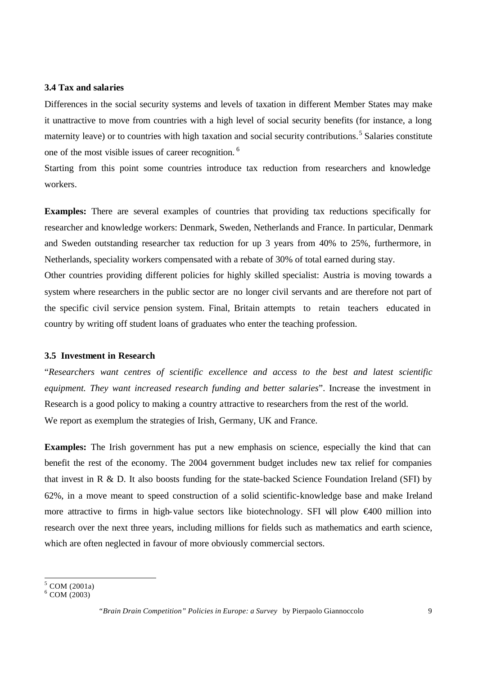#### **3.4 Tax and salaries**

Differences in the social security systems and levels of taxation in different Member States may make it unattractive to move from countries with a high level of social security benefits (for instance, a long maternity leave) or to countries with high taxation and social security contributions.<sup>5</sup> Salaries constitute one of the most visible issues of career recognition.<sup>6</sup>

Starting from this point some countries introduce tax reduction from researchers and knowledge workers.

**Examples:** There are several examples of countries that providing tax reductions specifically for researcher and knowledge workers: Denmark, Sweden, Netherlands and France. In particular, Denmark and Sweden outstanding researcher tax reduction for up 3 years from 40% to 25%, furthermore, in Netherlands, speciality workers compensated with a rebate of 30% of total earned during stay.

Other countries providing different policies for highly skilled specialist: Austria is moving towards a system where researchers in the public sector are no longer civil servants and are therefore not part of the specific civil service pension system. Final, Britain attempts to retain teachers educated in country by writing off student loans of graduates who enter the teaching profession.

#### **3.5 Investment in Research**

"*Researchers want centres of scientific excellence and access to the best and latest scientific equipment. They want increased research funding and better salaries*". Increase the investment in Research is a good policy to making a country attractive to researchers from the rest of the world. We report as exemplum the strategies of Irish, Germany, UK and France.

**Examples:** The Irish government has put a new emphasis on science, especially the kind that can benefit the rest of the economy. The 2004 government budget includes new tax relief for companies that invest in R  $\&$  D. It also boosts funding for the state-backed Science Foundation Ireland (SFI) by 62%, in a move meant to speed construction of a solid scientific-knowledge base and make Ireland more attractive to firms in high-value sectors like biotechnology. SFI will plow €400 million into research over the next three years, including millions for fields such as mathematics and earth science, which are often neglected in favour of more obviously commercial sectors.

l

<sup>&</sup>lt;sup>5</sup> COM (2001a)

 $6$  COM (2003)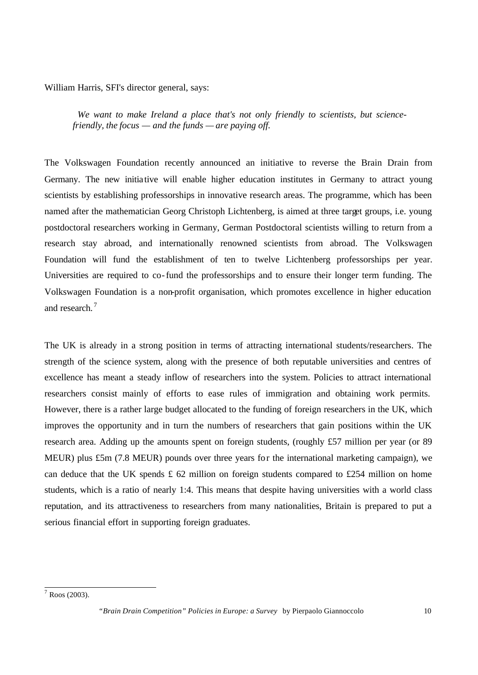William Harris, SFI's director general, says:

*We want to make Ireland a place that's not only friendly to scientists, but sciencefriendly, the focus — and the funds — are paying off.*

The Volkswagen Foundation recently announced an initiative to reverse the Brain Drain from Germany. The new initia tive will enable higher education institutes in Germany to attract young scientists by establishing professorships in innovative research areas. The programme, which has been named after the mathematician Georg Christoph Lichtenberg, is aimed at three target groups, i.e. young postdoctoral researchers working in Germany, German Postdoctoral scientists willing to return from a research stay abroad, and internationally renowned scientists from abroad. The Volkswagen Foundation will fund the establishment of ten to twelve Lichtenberg professorships per year. Universities are required to co-fund the professorships and to ensure their longer term funding. The Volkswagen Foundation is a non-profit organisation, which promotes excellence in higher education and research.<sup>7</sup>

The UK is already in a strong position in terms of attracting international students/researchers. The strength of the science system, along with the presence of both reputable universities and centres of excellence has meant a steady inflow of researchers into the system. Policies to attract international researchers consist mainly of efforts to ease rules of immigration and obtaining work permits. However, there is a rather large budget allocated to the funding of foreign researchers in the UK, which improves the opportunity and in turn the numbers of researchers that gain positions within the UK research area. Adding up the amounts spent on foreign students, (roughly £57 million per year (or 89 MEUR) plus £5m (7.8 MEUR) pounds over three years for the international marketing campaign), we can deduce that the UK spends  $\pounds$  62 million on foreign students compared to £254 million on home students, which is a ratio of nearly 1:4. This means that despite having universities with a world class reputation, and its attractiveness to researchers from many nationalities, Britain is prepared to put a serious financial effort in supporting foreign graduates.

 7 Roos (2003).

*<sup>&</sup>quot;Brain Drain Competition" Policies in Europe: a Survey* by Pierpaolo Giannoccolo 10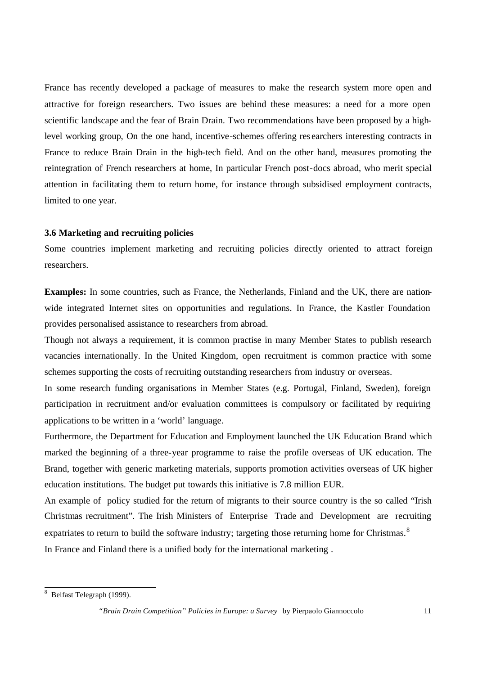France has recently developed a package of measures to make the research system more open and attractive for foreign researchers. Two issues are behind these measures: a need for a more open scientific landscape and the fear of Brain Drain. Two recommendations have been proposed by a highlevel working group, On the one hand, incentive-schemes offering res earchers interesting contracts in France to reduce Brain Drain in the high-tech field. And on the other hand, measures promoting the reintegration of French researchers at home, In particular French post-docs abroad, who merit special attention in facilitating them to return home, for instance through subsidised employment contracts, limited to one year.

## **3.6 Marketing and recruiting policies**

Some countries implement marketing and recruiting policies directly oriented to attract foreign researchers.

**Examples:** In some countries, such as France, the Netherlands, Finland and the UK, there are nationwide integrated Internet sites on opportunities and regulations. In France, the Kastler Foundation provides personalised assistance to researchers from abroad.

Though not always a requirement, it is common practise in many Member States to publish research vacancies internationally. In the United Kingdom, open recruitment is common practice with some schemes supporting the costs of recruiting outstanding researchers from industry or overseas.

In some research funding organisations in Member States (e.g. Portugal, Finland, Sweden), foreign participation in recruitment and/or evaluation committees is compulsory or facilitated by requiring applications to be written in a 'world' language.

Furthermore, the Department for Education and Employment launched the UK Education Brand which marked the beginning of a three-year programme to raise the profile overseas of UK education. The Brand, together with generic marketing materials, supports promotion activities overseas of UK higher education institutions. The budget put towards this initiative is 7.8 million EUR.

An example of policy studied for the return of migrants to their source country is the so called "Irish Christmas recruitment". The Irish Ministers of Enterprise Trade and Development are recruiting expatriates to return to build the software industry; targeting those returning home for Christmas.<sup>8</sup> In France and Finland there is a unified body for the international marketing .

<sup>&</sup>lt;sup>8</sup> Belfast Telegraph (1999).

*<sup>&</sup>quot;Brain Drain Competition" Policies in Europe: a Survey* by Pierpaolo Giannoccolo 11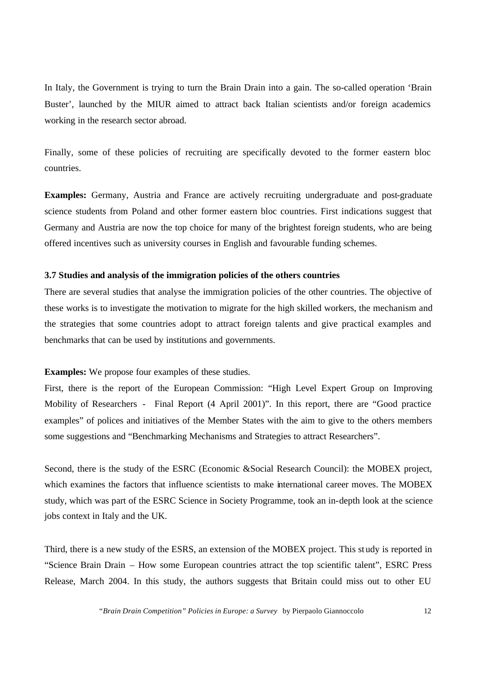In Italy, the Government is trying to turn the Brain Drain into a gain. The so-called operation 'Brain Buster', launched by the MIUR aimed to attract back Italian scientists and/or foreign academics working in the research sector abroad.

Finally, some of these policies of recruiting are specifically devoted to the former eastern bloc countries.

**Examples:** Germany, Austria and France are actively recruiting undergraduate and post-graduate science students from Poland and other former eastern bloc countries. First indications suggest that Germany and Austria are now the top choice for many of the brightest foreign students, who are being offered incentives such as university courses in English and favourable funding schemes.

#### **3.7 Studies and analysis of the immigration policies of the others countries**

There are several studies that analyse the immigration policies of the other countries. The objective of these works is to investigate the motivation to migrate for the high skilled workers, the mechanism and the strategies that some countries adopt to attract foreign talents and give practical examples and benchmarks that can be used by institutions and governments.

## **Examples:** We propose four examples of these studies.

First, there is the report of the European Commission: "High Level Expert Group on Improving Mobility of Researchers - Final Report (4 April 2001)". In this report, there are "Good practice examples" of polices and initiatives of the Member States with the aim to give to the others members some suggestions and "Benchmarking Mechanisms and Strategies to attract Researchers".

Second, there is the study of the ESRC (Economic &Social Research Council): the MOBEX project, which examines the factors that influence scientists to make international career moves. The MOBEX study, which was part of the ESRC Science in Society Programme, took an in-depth look at the science jobs context in Italy and the UK.

Third, there is a new study of the ESRS, an extension of the MOBEX project. This st udy is reported in "Science Brain Drain – How some European countries attract the top scientific talent", ESRC Press Release, March 2004. In this study, the authors suggests that Britain could miss out to other EU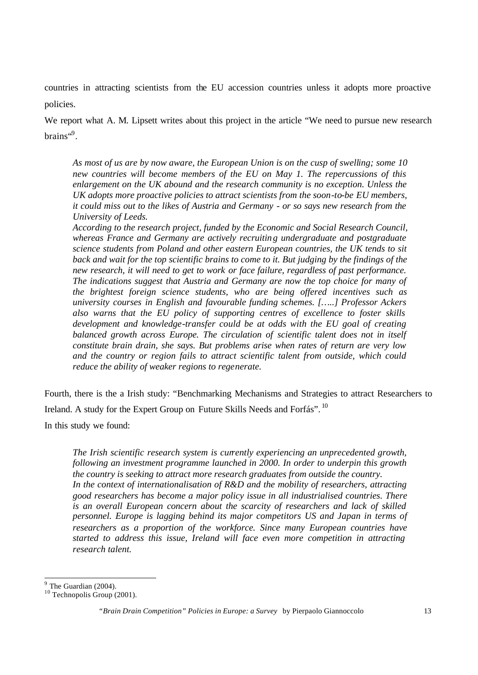countries in attracting scientists from the EU accession countries unless it adopts more proactive policies.

We report what A. M. Lipsett writes about this project in the article "We need to pursue new research brains"<sup>9</sup>.

*As most of us are by now aware, the European Union is on the cusp of swelling; some 10 new countries will become members of the EU on May 1. The repercussions of this enlargement on the UK abound and the research community is no exception. Unless the UK adopts more proactive policies to attract scientists from the soon-to-be EU members, it could miss out to the likes of Austria and Germany - or so says new research from the University of Leeds.* 

*According to the research project, funded by the Economic and Social Research Council, whereas France and Germany are actively recruiting undergraduate and postgraduate science students from Poland and other eastern European countries, the UK tends to sit back and wait for the top scientific brains to come to it. But judging by the findings of the new research, it will need to get to work or face failure, regardless of past performance. The indications suggest that Austria and Germany are now the top choice for many of the brightest foreign science students, who are being offered incentives such as university courses in English and favourable funding schemes. […..] Professor Ackers also warns that the EU policy of supporting centres of excellence to foster skills development and knowledge-transfer could be at odds with the EU goal of creating balanced growth across Europe. The circulation of scientific talent does not in itself constitute brain drain, she says. But problems arise when rates of return are very low and the country or region fails to attract scientific talent from outside, which could reduce the ability of weaker regions to regenerate.*

Fourth, there is the a Irish study: "Benchmarking Mechanisms and Strategies to attract Researchers to Ireland. A study for the Expert Group on Future Skills Needs and Forfás". <sup>10</sup>

In this study we found:

*The Irish scientific research system is currently experiencing an unprecedented growth, following an investment programme launched in 2000. In order to underpin this growth the country is seeking to attract more research graduates from outside the country. In the context of internationalisation of R&D and the mobility of researchers, attracting good researchers has become a major policy issue in all industrialised countries. There is an overall European concern about the scarcity of researchers and lack of skilled personnel. Europe is lagging behind its major competitors US and Japan in terms of researchers as a proportion of the workforce. Since many European countries have started to address this issue, Ireland will face even more competition in attracting research talent.*

 $9^9$  The Guardian (2004).

 $10$  Technopolis Group (2001).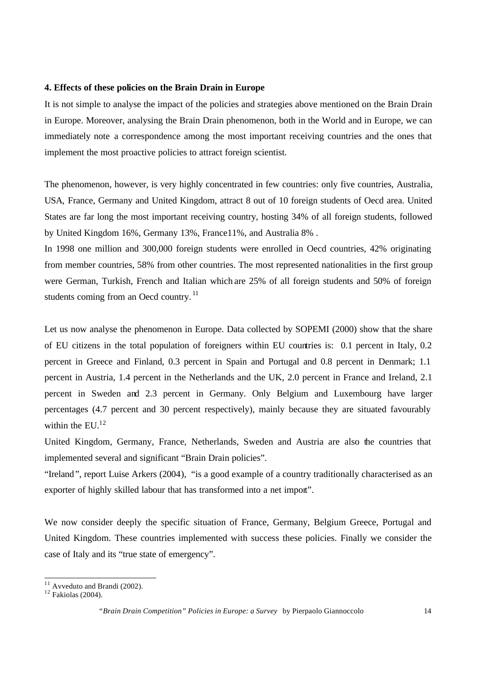#### **4. Effects of these policies on the Brain Drain in Europe**

It is not simple to analyse the impact of the policies and strategies above mentioned on the Brain Drain in Europe. Moreover, analysing the Brain Drain phenomenon, both in the World and in Europe, we can immediately note a correspondence among the most important receiving countries and the ones that implement the most proactive policies to attract foreign scientist.

The phenomenon, however, is very highly concentrated in few countries: only five countries, Australia, USA, France, Germany and United Kingdom, attract 8 out of 10 foreign students of Oecd area. United States are far long the most important receiving country, hosting 34% of all foreign students, followed by United Kingdom 16%, Germany 13%, France11%, and Australia 8% .

In 1998 one million and 300,000 foreign students were enrolled in Oecd countries, 42% originating from member countries, 58% from other countries. The most represented nationalities in the first group were German, Turkish, French and Italian which are 25% of all foreign students and 50% of foreign students coming from an Oecd country.<sup>11</sup>

Let us now analyse the phenomenon in Europe. Data collected by SOPEMI (2000) show that the share of EU citizens in the total population of foreigners within EU countries is: 0.1 percent in Italy, 0.2 percent in Greece and Finland, 0.3 percent in Spain and Portugal and 0.8 percent in Denmark; 1.1 percent in Austria, 1.4 percent in the Netherlands and the UK, 2.0 percent in France and Ireland, 2.1 percent in Sweden and 2.3 percent in Germany. Only Belgium and Luxembourg have larger percentages (4.7 percent and 30 percent respectively), mainly because they are situated favourably within the  $EU<sup>12</sup>$ 

United Kingdom, Germany, France, Netherlands, Sweden and Austria are also the countries that implemented several and significant "Brain Drain policies".

"Ireland", report Luise Arkers (2004), "is a good example of a country traditionally characterised as an exporter of highly skilled labour that has transformed into a net import".

We now consider deeply the specific situation of France, Germany, Belgium Greece, Portugal and United Kingdom. These countries implemented with success these policies. Finally we consider the case of Italy and its "true state of emergency".

l

 $11$  Avveduto and Brandi (2002).

 $12$  Fakiolas (2004).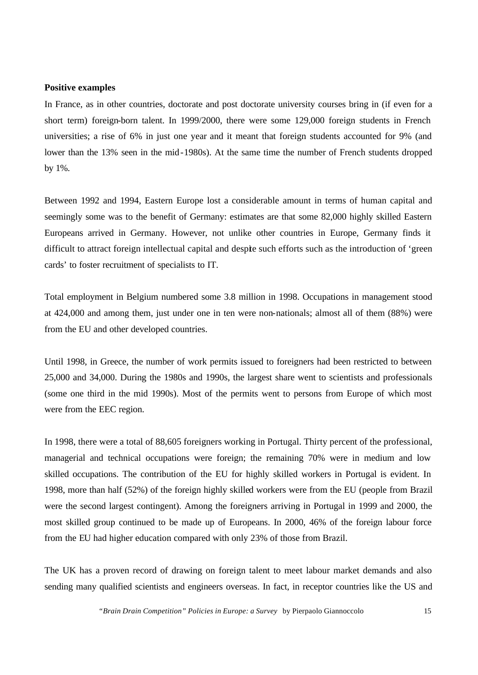#### **Positive examples**

In France, as in other countries, doctorate and post doctorate university courses bring in (if even for a short term) foreign-born talent. In 1999/2000, there were some 129,000 foreign students in French universities; a rise of 6% in just one year and it meant that foreign students accounted for 9% (and lower than the 13% seen in the mid-1980s). At the same time the number of French students dropped by 1%.

Between 1992 and 1994, Eastern Europe lost a considerable amount in terms of human capital and seemingly some was to the benefit of Germany: estimates are that some 82,000 highly skilled Eastern Europeans arrived in Germany. However, not unlike other countries in Europe, Germany finds it difficult to attract foreign intellectual capital and despite such efforts such as the introduction of 'green cards' to foster recruitment of specialists to IT.

Total employment in Belgium numbered some 3.8 million in 1998. Occupations in management stood at 424,000 and among them, just under one in ten were non-nationals; almost all of them (88%) were from the EU and other developed countries.

Until 1998, in Greece, the number of work permits issued to foreigners had been restricted to between 25,000 and 34,000. During the 1980s and 1990s, the largest share went to scientists and professionals (some one third in the mid 1990s). Most of the permits went to persons from Europe of which most were from the EEC region.

In 1998, there were a total of 88,605 foreigners working in Portugal. Thirty percent of the professional, managerial and technical occupations were foreign; the remaining 70% were in medium and low skilled occupations. The contribution of the EU for highly skilled workers in Portugal is evident. In 1998, more than half (52%) of the foreign highly skilled workers were from the EU (people from Brazil were the second largest contingent). Among the foreigners arriving in Portugal in 1999 and 2000, the most skilled group continued to be made up of Europeans. In 2000, 46% of the foreign labour force from the EU had higher education compared with only 23% of those from Brazil.

The UK has a proven record of drawing on foreign talent to meet labour market demands and also sending many qualified scientists and engineers overseas. In fact, in receptor countries like the US and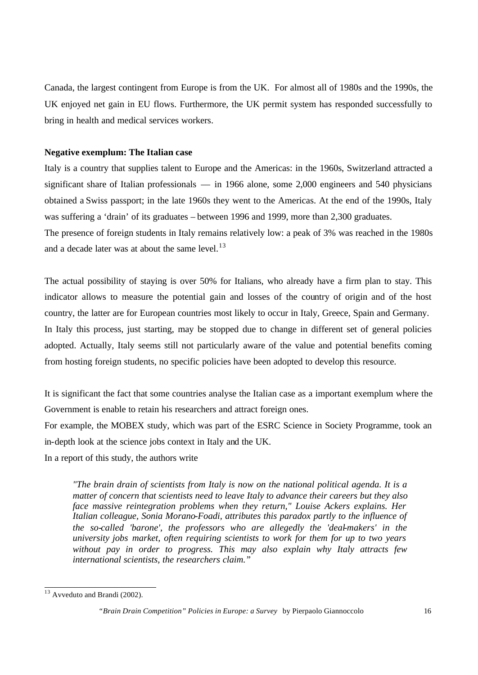Canada, the largest contingent from Europe is from the UK. For almost all of 1980s and the 1990s, the UK enjoyed net gain in EU flows. Furthermore, the UK permit system has responded successfully to bring in health and medical services workers.

#### **Negative exemplum: The Italian case**

Italy is a country that supplies talent to Europe and the Americas: in the 1960s, Switzerland attracted a significant share of Italian professionals — in 1966 alone, some 2,000 engineers and 540 physicians obtained a Swiss passport; in the late 1960s they went to the Americas. At the end of the 1990s, Italy was suffering a 'drain' of its graduates – between 1996 and 1999, more than 2,300 graduates.

The presence of foreign students in Italy remains relatively low: a peak of 3% was reached in the 1980s and a decade later was at about the same level.<sup>13</sup>

The actual possibility of staying is over 50% for Italians, who already have a firm plan to stay. This indicator allows to measure the potential gain and losses of the country of origin and of the host country, the latter are for European countries most likely to occur in Italy, Greece, Spain and Germany. In Italy this process, just starting, may be stopped due to change in different set of general policies adopted. Actually, Italy seems still not particularly aware of the value and potential benefits coming from hosting foreign students, no specific policies have been adopted to develop this resource.

It is significant the fact that some countries analyse the Italian case as a important exemplum where the Government is enable to retain his researchers and attract foreign ones.

For example, the MOBEX study, which was part of the ESRC Science in Society Programme, took an in-depth look at the science jobs context in Italy and the UK.

In a report of this study, the authors write

*"The brain drain of scientists from Italy is now on the national political agenda. It is a matter of concern that scientists need to leave Italy to advance their careers but they also face massive reintegration problems when they return," Louise Ackers explains. Her Italian colleague, Sonia Morano-Foadi, attributes this paradox partly to the influence of the so-called 'barone', the professors who are allegedly the 'deal-makers' in the university jobs market, often requiring scientists to work for them for up to two years without pay in order to progress. This may also explain why Italy attracts few international scientists, the researchers claim."*

l

 $13$  Avveduto and Brandi (2002).

*<sup>&</sup>quot;Brain Drain Competition" Policies in Europe: a Survey* by Pierpaolo Giannoccolo 16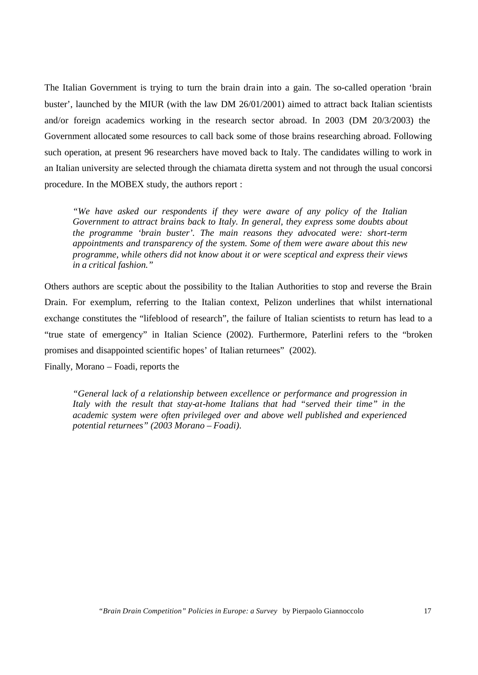The Italian Government is trying to turn the brain drain into a gain. The so-called operation 'brain buster', launched by the MIUR (with the law DM 26/01/2001) aimed to attract back Italian scientists and/or foreign academics working in the research sector abroad. In 2003 (DM 20/3/2003) the Government allocated some resources to call back some of those brains researching abroad. Following such operation, at present 96 researchers have moved back to Italy. The candidates willing to work in an Italian university are selected through the chiamata diretta system and not through the usual concorsi procedure. In the MOBEX study, the authors report :

*"We have asked our respondents if they were aware of any policy of the Italian Government to attract brains back to Italy. In general, they express some doubts about the programme 'brain buster'. The main reasons they advocated were: short-term appointments and transparency of the system. Some of them were aware about this new programme, while others did not know about it or were sceptical and express their views in a critical fashion."*

Others authors are sceptic about the possibility to the Italian Authorities to stop and reverse the Brain Drain. For exemplum, referring to the Italian context, Pelizon underlines that whilst international exchange constitutes the "lifeblood of research", the failure of Italian scientists to return has lead to a "true state of emergency" in Italian Science (2002). Furthermore, Paterlini refers to the "broken promises and disappointed scientific hopes' of Italian returnees" (2002).

Finally, Morano – Foadi, reports the

*"General lack of a relationship between excellence or performance and progression in Italy with the result that stay-at-home Italians that had "served their time" in the academic system were often privileged over and above well published and experienced potential returnees" (2003 Morano – Foadi).*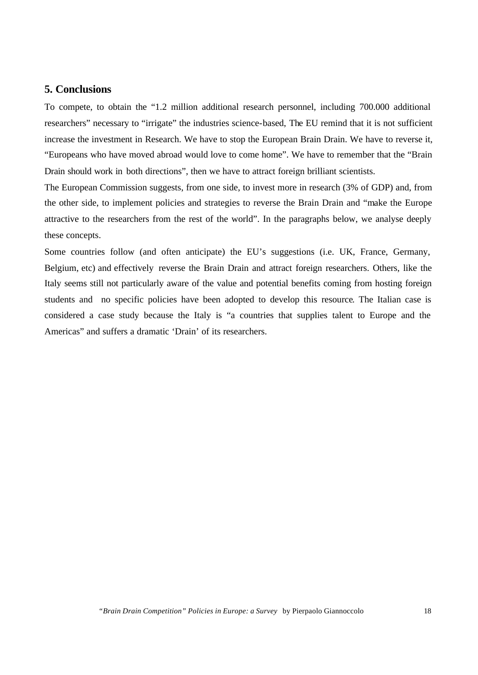# **5. Conclusions**

To compete, to obtain the "1.2 million additional research personnel, including 700.000 additional researchers" necessary to "irrigate" the industries science-based, The EU remind that it is not sufficient increase the investment in Research. We have to stop the European Brain Drain. We have to reverse it, "Europeans who have moved abroad would love to come home". We have to remember that the "Brain Drain should work in both directions", then we have to attract foreign brilliant scientists.

The European Commission suggests, from one side, to invest more in research (3% of GDP) and, from the other side, to implement policies and strategies to reverse the Brain Drain and "make the Europe attractive to the researchers from the rest of the world". In the paragraphs below, we analyse deeply these concepts.

Some countries follow (and often anticipate) the EU's suggestions (i.e. UK, France, Germany, Belgium, etc) and effectively reverse the Brain Drain and attract foreign researchers. Others, like the Italy seems still not particularly aware of the value and potential benefits coming from hosting foreign students and no specific policies have been adopted to develop this resource. The Italian case is considered a case study because the Italy is "a countries that supplies talent to Europe and the Americas" and suffers a dramatic 'Drain' of its researchers.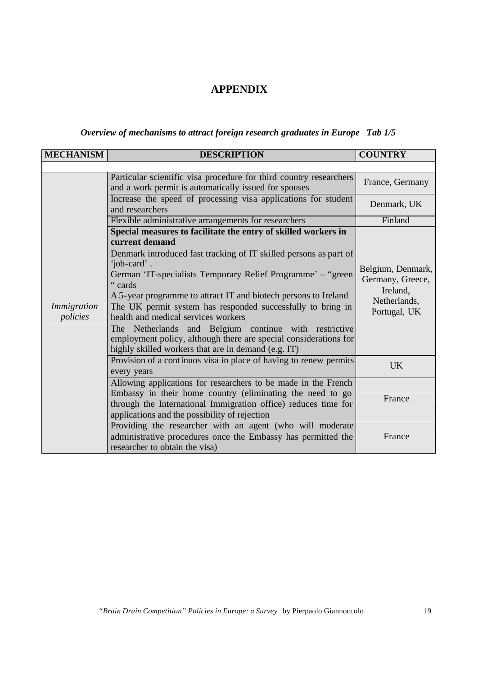# **APPENDIX**

# *Overview of mechanisms to attract foreign research graduates in Europe Tab 1/5*

| <b>MECHANISM</b>        | <b>DESCRIPTION</b>                                                                                                                                                                                                                                                                                                                                                                                                                                                                                                                                                                                          | <b>COUNTRY</b>                                                                    |
|-------------------------|-------------------------------------------------------------------------------------------------------------------------------------------------------------------------------------------------------------------------------------------------------------------------------------------------------------------------------------------------------------------------------------------------------------------------------------------------------------------------------------------------------------------------------------------------------------------------------------------------------------|-----------------------------------------------------------------------------------|
|                         |                                                                                                                                                                                                                                                                                                                                                                                                                                                                                                                                                                                                             |                                                                                   |
|                         | Particular scientific visa procedure for third country researchers<br>and a work permit is automatically issued for spouses                                                                                                                                                                                                                                                                                                                                                                                                                                                                                 | France, Germany                                                                   |
|                         | Increase the speed of processing visa applications for student<br>and researchers                                                                                                                                                                                                                                                                                                                                                                                                                                                                                                                           | Denmark, UK                                                                       |
|                         | Flexible administrative arrangements for researchers                                                                                                                                                                                                                                                                                                                                                                                                                                                                                                                                                        | Finland                                                                           |
| Immigration<br>policies | Special measures to facilitate the entry of skilled workers in<br>current demand<br>Denmark introduced fast tracking of IT skilled persons as part of<br>'job-card'.<br>German 'IT-specialists Temporary Relief Programme' - "green<br>"cards"<br>A 5-year programme to attract IT and biotech persons to Ireland<br>The UK permit system has responded successfully to bring in<br>health and medical services workers<br>The Netherlands and Belgium continue with restrictive<br>employment policy, although there are special considerations for<br>highly skilled workers that are in demand (e.g. IT) | Belgium, Denmark,<br>Germany, Greece,<br>Ireland,<br>Netherlands,<br>Portugal, UK |
|                         | Provision of a continuos visa in place of having to renew permits<br>every years                                                                                                                                                                                                                                                                                                                                                                                                                                                                                                                            | <b>UK</b>                                                                         |
|                         | Allowing applications for researchers to be made in the French<br>Embassy in their home country (eliminating the need to go<br>through the International Immigration office) reduces time for<br>applications and the possibility of rejection                                                                                                                                                                                                                                                                                                                                                              | France                                                                            |
|                         | Providing the researcher with an agent (who will moderate<br>administrative procedures once the Embassy has permitted the<br>researcher to obtain the visa)                                                                                                                                                                                                                                                                                                                                                                                                                                                 | France                                                                            |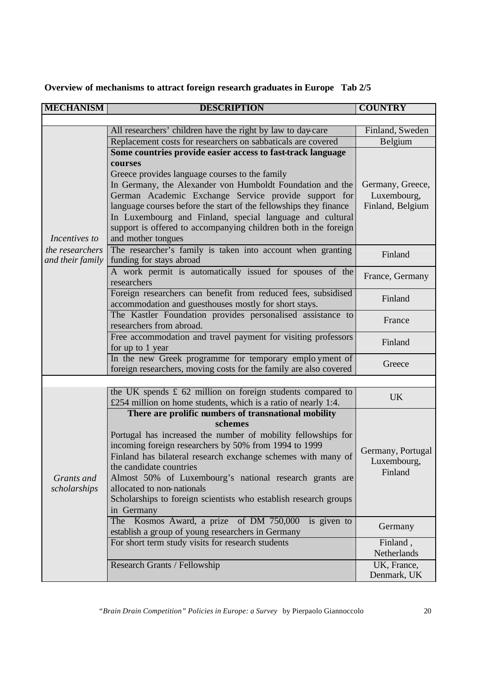**Overview of mechanisms to attract foreign research graduates in Europe Tab 2/5**

| <b>MECHANISM</b>                    | <b>DESCRIPTION</b>                                                                                                     | <b>COUNTRY</b>    |  |
|-------------------------------------|------------------------------------------------------------------------------------------------------------------------|-------------------|--|
|                                     |                                                                                                                        |                   |  |
|                                     | All researchers' children have the right by law to day-care                                                            | Finland, Sweden   |  |
|                                     | Replacement costs for researchers on sabbaticals are covered                                                           | Belgium           |  |
|                                     | Some countries provide easier access to fast-track language                                                            |                   |  |
|                                     | courses                                                                                                                |                   |  |
|                                     | Greece provides language courses to the family                                                                         |                   |  |
|                                     | In Germany, the Alexander von Humboldt Foundation and the                                                              | Germany, Greece,  |  |
|                                     | German Academic Exchange Service provide support for                                                                   | Luxembourg,       |  |
|                                     | language courses before the start of the fellowships they finance                                                      | Finland, Belgium  |  |
|                                     | In Luxembourg and Finland, special language and cultural                                                               |                   |  |
|                                     | support is offered to accompanying children both in the foreign                                                        |                   |  |
| Incentives to                       | and mother tongues                                                                                                     |                   |  |
| the researchers<br>and their family | The researcher's family is taken into account when granting<br>funding for stays abroad                                | Finland           |  |
|                                     | A work permit is automatically issued for spouses of the<br>researchers                                                | France, Germany   |  |
|                                     | Foreign researchers can benefit from reduced fees, subsidised                                                          |                   |  |
|                                     | accommodation and guesthouses mostly for short stays.                                                                  | Finland           |  |
|                                     | The Kastler Foundation provides personalised assistance to                                                             |                   |  |
|                                     | researchers from abroad.                                                                                               | France            |  |
|                                     | Free accommodation and travel payment for visiting professors                                                          |                   |  |
|                                     | for up to 1 year                                                                                                       | Finland           |  |
|                                     | In the new Greek programme for temporary employment of                                                                 | Greece            |  |
|                                     | foreign researchers, moving costs for the family are also covered                                                      |                   |  |
|                                     |                                                                                                                        |                   |  |
|                                     | the UK spends $\pounds$ 62 million on foreign students compared to                                                     | <b>UK</b>         |  |
|                                     | £254 million on home students, which is a ratio of nearly 1:4.                                                         |                   |  |
|                                     | There are prolific numbers of transnational mobility<br>schemes                                                        |                   |  |
|                                     |                                                                                                                        |                   |  |
|                                     | Portugal has increased the number of mobility fellowships for<br>incoming foreign researchers by 50% from 1994 to 1999 |                   |  |
|                                     | Finland has bilateral research exchange schemes with many of                                                           | Germany, Portugal |  |
|                                     | the candidate countries                                                                                                | Luxembourg,       |  |
| Grants and                          | Almost 50% of Luxembourg's national research grants are                                                                | Finland           |  |
| scholarships                        | allocated to non-nationals                                                                                             |                   |  |
|                                     | Scholarships to foreign scientists who establish research groups                                                       |                   |  |
|                                     | in Germany                                                                                                             |                   |  |
|                                     | The Kosmos Award, a prize of DM 750,000<br>is given to                                                                 | Germany           |  |
|                                     | establish a group of young researchers in Germany                                                                      |                   |  |
|                                     | For short term study visits for research students                                                                      | Finland,          |  |
|                                     |                                                                                                                        | Netherlands       |  |
|                                     | Research Grants / Fellowship                                                                                           | UK, France,       |  |
|                                     |                                                                                                                        | Denmark, UK       |  |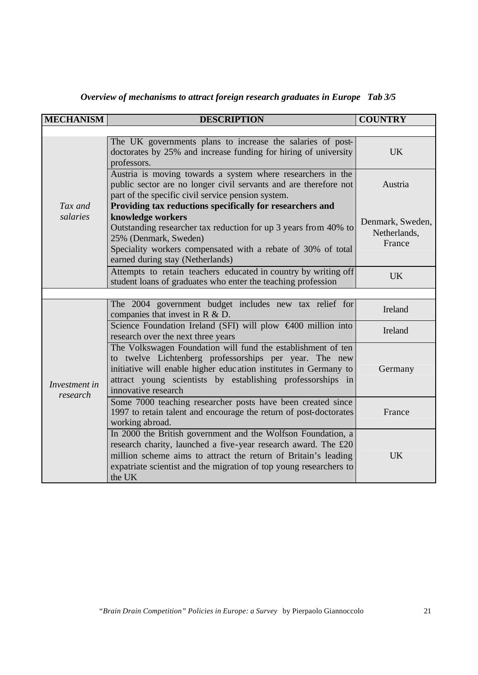| <b>MECHANISM</b>          | <b>DESCRIPTION</b>                                                                                                                                                                                                                                                               | <b>COUNTRY</b>                             |
|---------------------------|----------------------------------------------------------------------------------------------------------------------------------------------------------------------------------------------------------------------------------------------------------------------------------|--------------------------------------------|
|                           |                                                                                                                                                                                                                                                                                  |                                            |
|                           | The UK governments plans to increase the salaries of post-<br>doctorates by 25% and increase funding for hiring of university<br>professors.                                                                                                                                     | <b>UK</b>                                  |
|                           | Austria is moving towards a system where researchers in the<br>public sector are no longer civil servants and are therefore not<br>part of the specific civil service pension system.                                                                                            | Austria                                    |
| Tax and                   | Providing tax reductions specifically for researchers and                                                                                                                                                                                                                        |                                            |
| salaries                  | knowledge workers<br>Outstanding researcher tax reduction for up 3 years from 40% to<br>25% (Denmark, Sweden)<br>Speciality workers compensated with a rebate of 30% of total<br>earned during stay (Netherlands)                                                                | Denmark, Sweden,<br>Netherlands,<br>France |
|                           | Attempts to retain teachers educated in country by writing off<br>student loans of graduates who enter the teaching profession                                                                                                                                                   | <b>UK</b>                                  |
|                           |                                                                                                                                                                                                                                                                                  |                                            |
|                           | The 2004 government budget includes new tax relief for<br>companies that invest in R & D.                                                                                                                                                                                        | Ireland                                    |
|                           | Science Foundation Ireland (SFI) will plow €400 million into<br>research over the next three years                                                                                                                                                                               | Ireland                                    |
| Investment in<br>research | The Volkswagen Foundation will fund the establishment of ten<br>to twelve Lichtenberg professorships per year. The new<br>initiative will enable higher education institutes in Germany to<br>attract young scientists by establishing professorships in<br>innovative research  | Germany                                    |
|                           | Some 7000 teaching researcher posts have been created since<br>1997 to retain talent and encourage the return of post-doctorates<br>working abroad.                                                                                                                              | France                                     |
|                           | In 2000 the British government and the Wolfson Foundation, a<br>research charity, launched a five-year research award. The £20<br>million scheme aims to attract the return of Britain's leading<br>expatriate scientist and the migration of top young researchers to<br>the UK | <b>UK</b>                                  |

*Overview of mechanisms to attract foreign research graduates in Europe Tab 3/5*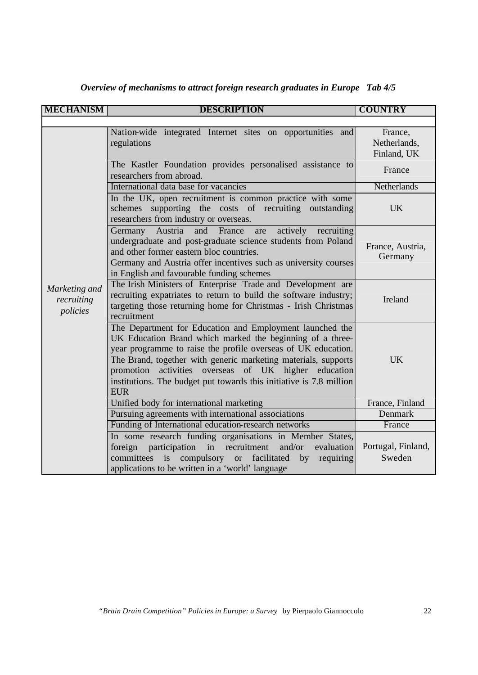| <b>MECHANISM</b>                        | <b>DESCRIPTION</b>                                                                                                                                                                                                                                                                                                                                                                                       | <b>COUNTRY</b>                         |
|-----------------------------------------|----------------------------------------------------------------------------------------------------------------------------------------------------------------------------------------------------------------------------------------------------------------------------------------------------------------------------------------------------------------------------------------------------------|----------------------------------------|
|                                         |                                                                                                                                                                                                                                                                                                                                                                                                          |                                        |
|                                         | Nation-wide integrated Internet sites on opportunities and<br>regulations                                                                                                                                                                                                                                                                                                                                | France,<br>Netherlands,<br>Finland, UK |
|                                         | The Kastler Foundation provides personalised assistance to<br>researchers from abroad.                                                                                                                                                                                                                                                                                                                   | France                                 |
|                                         | International data base for vacancies                                                                                                                                                                                                                                                                                                                                                                    | Netherlands                            |
| Marketing and<br>recruiting<br>policies | In the UK, open recruitment is common practice with some<br>schemes supporting the costs of recruiting outstanding<br>researchers from industry or overseas.                                                                                                                                                                                                                                             | <b>UK</b>                              |
|                                         | Austria<br>and France<br>actively recruiting<br>Germany<br>are<br>undergraduate and post-graduate science students from Poland<br>and other former eastern bloc countries.<br>Germany and Austria offer incentives such as university courses<br>in English and favourable funding schemes                                                                                                               | France, Austria,<br>Germany            |
|                                         | The Irish Ministers of Enterprise Trade and Development are<br>recruiting expatriates to return to build the software industry;<br>targeting those returning home for Christmas - Irish Christmas<br>recruitment                                                                                                                                                                                         | Ireland                                |
|                                         | The Department for Education and Employment launched the<br>UK Education Brand which marked the beginning of a three-<br>year programme to raise the profile overseas of UK education.<br>The Brand, together with generic marketing materials, supports<br>activities overseas of UK higher education<br>promotion<br>institutions. The budget put towards this initiative is 7.8 million<br><b>EUR</b> | <b>UK</b>                              |
|                                         | Unified body for international marketing                                                                                                                                                                                                                                                                                                                                                                 | France, Finland                        |
|                                         | Pursuing agreements with international associations                                                                                                                                                                                                                                                                                                                                                      | Denmark                                |
|                                         | Funding of International education-research networks                                                                                                                                                                                                                                                                                                                                                     | France                                 |
|                                         | In some research funding organisations in Member States,<br>foreign participation in recruitment<br>and/or<br>evaluation<br>committees is compulsory or facilitated<br>by<br>requiring<br>applications to be written in a 'world' language                                                                                                                                                               | Portugal, Finland,<br>Sweden           |

*Overview of mechanisms to attract foreign research graduates in Europe Tab 4/5*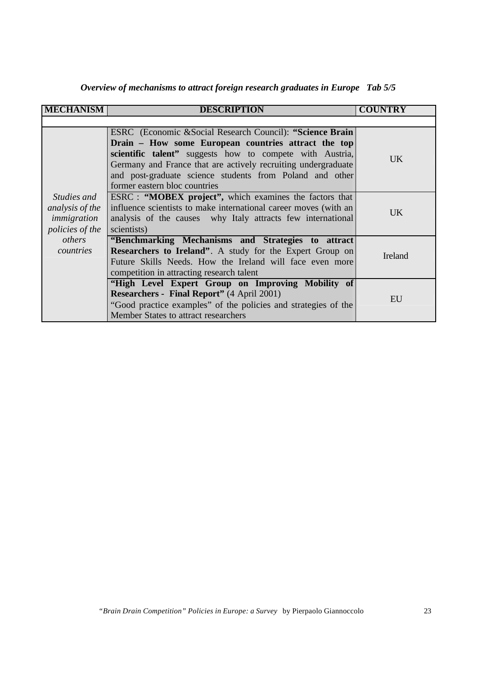| Overview of mechanisms to attract foreign research graduates in Europe Tab 5/5 |  |  |  |
|--------------------------------------------------------------------------------|--|--|--|
|--------------------------------------------------------------------------------|--|--|--|

| <b>MECHANISM</b>                                                                                      | <b>DESCRIPTION</b>                                                                                                                                                                                                                                                                                                                         | <b>COUNTRY</b> |
|-------------------------------------------------------------------------------------------------------|--------------------------------------------------------------------------------------------------------------------------------------------------------------------------------------------------------------------------------------------------------------------------------------------------------------------------------------------|----------------|
|                                                                                                       |                                                                                                                                                                                                                                                                                                                                            |                |
| <i>Studies and</i><br>analysis of the<br>immigration<br><i>policies of the</i><br>others<br>countries | ESRC (Economic & Social Research Council): "Science Brain<br>Drain – How some European countries attract the top<br>scientific talent" suggests how to compete with Austria,<br>Germany and France that are actively recruiting undergraduate<br>and post-graduate science students from Poland and other<br>former eastern bloc countries | UK.            |
|                                                                                                       | ESRC : "MOBEX project", which examines the factors that<br>influence scientists to make international career moves (with an<br>analysis of the causes why Italy attracts few international<br>scientists)                                                                                                                                  | UK.            |
|                                                                                                       | "Benchmarking Mechanisms and Strategies to attract<br><b>Researchers to Ireland".</b> A study for the Expert Group on<br>Future Skills Needs. How the Ireland will face even more<br>competition in attracting research talent                                                                                                             | Ireland        |
|                                                                                                       | "High Level Expert Group on Improving Mobility of<br><b>Researchers - Final Report"</b> (4 April 2001)<br>"Good practice examples" of the policies and strategies of the<br>Member States to attract researchers                                                                                                                           | EU             |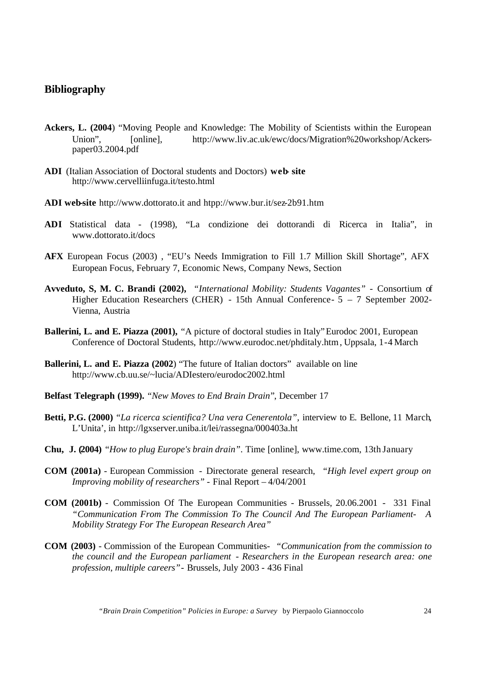# **Bibliography**

- **Ackers, L. (2004**) "Moving People and Knowledge: The Mobility of Scientists within the European Union", [online], http://www.liv.ac.uk/ewc/docs/Migration%20workshop/Ackerspaper03.2004.pdf
- **ADI** (Italian Association of Doctoral students and Doctors) **web- site** http://www.cervelliinfuga.it/testo.html
- **ADI web-site** http://www.dottorato.it and htpp://www.bur.it/sez-2b91.htm
- **ADI** Statistical data (1998), "La condizione dei dottorandi di Ricerca in Italia", in www.dottorato.it/docs
- **AFX** European Focus (2003) , "EU's Needs Immigration to Fill 1.7 Million Skill Shortage", AFX European Focus, February 7, Economic News, Company News, Section
- **Avveduto, S, M. C. Brandi (2002),** *"International Mobility: Students Vagantes"* Consortium of Higher Education Researchers (CHER) - 15th Annual Conference- 5 – 7 September 2002- Vienna, Austria
- **Ballerini, L. and E. Piazza (2001),** "A picture of doctoral studies in Italy" Eurodoc 2001, European Conference of Doctoral Students, http://www.eurodoc.net/phditaly.htm , Uppsala, 1-4 March
- **Ballerini, L. and E. Piazza (2002**) "The future of Italian doctors" available on line http://www.cb.uu.se/~lucia/ADIestero/eurodoc2002.html
- **Belfast Telegraph (1999).** *"New Moves to End Brain Drain*", December 17
- **Betti, P.G. (2000)** *"La ricerca scientifica? Una vera Cenerentola",* interview to E. Bellone, 11 March, L'Unita', in http://lgxserver.uniba.it/lei/rassegna/000403a.ht
- **Chu, J. (2004)** "*How to plug Europe's brain drain"*. Time [online], www.time.com, 13th January
- **COM (2001a)** European Commission Directorate general research, *"High level expert group on Improving mobility of researchers"* - Final Report – 4/04/2001
- **COM (2001b)** Commission Of The European Communities Brussels, 20.06.2001 331 Final *"Communication From The Commission To The Council And The European Parliament- A Mobility Strategy For The European Research Area"*
- **COM (2003)** Commission of the European Communities- *"Communication from the commission to the council and the European parliament - Researchers in the European research area: one profession, multiple careers"*- Brussels, July 2003 - 436 Final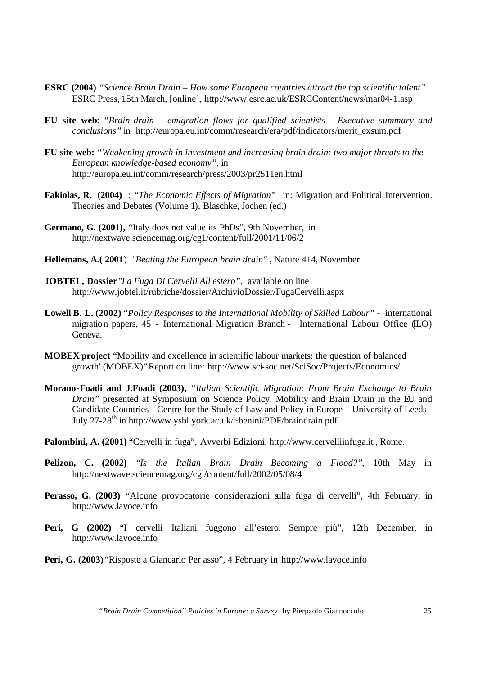- **ESRC (2004)** *"Science Brain Drain How some European countries attract the top scientific talent"* ESRC Press, 15th March, [online], http://www.esrc.ac.uk/ESRCContent/news/mar04-1.asp
- **EU site web**: *"Brain drain emigration flows for qualified scientists Executive summary and conclusions"* in http://europa.eu.int/comm/research/era/pdf/indicators/merit\_exsum.pdf
- **EU site web:** *"Weakening growth in investment and increasing brain drain: two major threats to the European knowledge-based economy",* in http://europa.eu.int/comm/research/press/2003/pr2511en.html
- **Fakiolas, R. (2004)** : *"The Economic Effects of Migration"* in: Migration and Political Intervention. Theories and Debates (Volume 1), Blaschke, Jochen (ed.)
- **Germano, G. (2001),** "Italy does not value its PhDs", 9th November, in http://nextwave.sciencemag.org/cg1/content/full/2001/11/06/2
- **Hellemans, A.( 2001**) *"Beating the European brain drain"* , Nature 414, November
- **JOBTEL, Dossier***"La Fuga Di Cervelli All'estero",* available on line http://www.jobtel.it/rubriche/dossier/ArchivioDossier/FugaCervelli.aspx
- **Lowell B. L. (2002)** *"Policy Responses to the International Mobility of Skilled Labour"* international migration papers, 45 - International Migration Branch - International Labour Office (ILO) Geneva.
- **MOBEX project** "Mobility and excellence in scientific labour markets: the question of balanced growth' (MOBEX)" Report on line: http://www.sci-soc.net/SciSoc/Projects/Economics/
- **Morano-Foadi and J.Foadi (2003),** *"Italian Scientific Migration: From Brain Exchange to Brain Drain"* presented at Symposium on Science Policy, Mobility and Brain Drain in the EU and Candidate Countries - Centre for the Study of Law and Policy in Europe - University of Leeds - July 27-28<sup>th</sup> in http://www.ysbl.york.ac.uk/~benini/PDF/braindrain.pdf
- **Palombini, A. (2001)** "Cervelli in fuga", Avverbi Edizioni, http://www.cervelliinfuga.it , Rome.
- **Pelizon, C. (2002)** "*Is the Italian Brain Drain Becoming a Flood?"*, 10th May in http://nextwave.sciencemag.org/cgl/content/full/2002/05/08/4
- **Perasso, G. (2003)** "Alcune provocatorie considerazioni sulla fuga di cervelli", 4th February, in http://www.lavoce.info
- **Peri, G (2002)** "I cervelli Italiani fuggono all'estero. Sempre più", 12th December, in http://www.lavoce.info
- **Peri, G. (2003)** "Risposte a Giancarlo Per asso", 4 February in http://www.lavoce.info